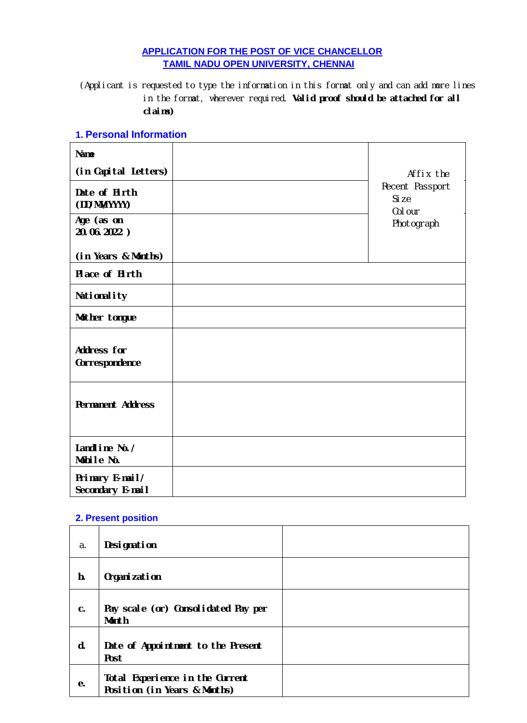## **APPLICATION FOR THE POST OF VICE CHANCELLOR TAMIL NADU OPEN UNIVERSITY, CHENNAI**

(Applicant is requested to type the information in this format only and can add more lines in the format, wherever required. **Valid proof should be attached for all claims)**

#### **1. Personal Information**

| <b>Name</b>                         |                                     |
|-------------------------------------|-------------------------------------|
| (in Capital Letters)                | Affix the                           |
| Date of Birth<br>(DD/MM/YYYY)       | Recent Passport<br>Si ze<br>Col our |
| Age (as on<br>20.06.2022)           | Photograph                          |
| (in Years & Months)                 |                                     |
| Place of Birth                      |                                     |
| Nationality                         |                                     |
| Mother tongue                       |                                     |
| Address for<br>Correspondence       |                                     |
| <b>Permanent Address</b>            |                                     |
| Landline No./<br>Mobile No.         |                                     |
| Primary E-mail/<br>Secondary E-mail |                                     |

#### **2. Present position**

| a. | <b>Designation</b>                                              |  |
|----|-----------------------------------------------------------------|--|
| b. | Organization                                                    |  |
| c. | Pay scale (or) Consolidated Pay per<br><b>Month</b>             |  |
| d. | Date of Appointment to the Present<br>Post                      |  |
| е. | Total Experience in the Current<br>Position (in Years & Months) |  |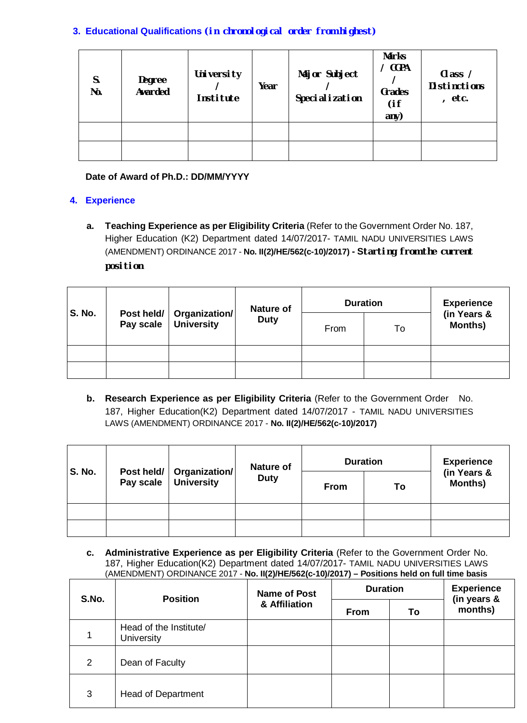## **3. Educational Qualifications (in chronological order from highest)**

| S.<br>No. | Degree<br>Awarded | University<br>Institute | Year | Major Subject<br>Specialization | <b>Marks</b><br><b>CGPA</b><br>Grades<br>(i f)<br>any) | Class /<br><b>Distinctions</b><br>etc. |
|-----------|-------------------|-------------------------|------|---------------------------------|--------------------------------------------------------|----------------------------------------|
|           |                   |                         |      |                                 |                                                        |                                        |
|           |                   |                         |      |                                 |                                                        |                                        |

## **Date of Award of Ph.D.: DD/MM/YYYY**

## **4. Experience**

**a. Teaching Experience as per Eligibility Criteria** (Refer to the Government Order No. 187, Higher Education (K2) Department dated 14/07/2017- TAMIL NADU UNIVERSITIES LAWS (AMENDMENT) ORDINANCE 2017 - **No. II(2)/HE/562(c-10)/2017) - Starting from the current position**

|               |                         |                                    | <b>Nature of</b> | <b>Duration</b> |    | <b>Experience</b>      |
|---------------|-------------------------|------------------------------------|------------------|-----------------|----|------------------------|
| <b>S. No.</b> | Post held/<br>Pay scale | Organization/<br><b>University</b> | <b>Duty</b>      | From            | To | (in Years &<br>Months) |
|               |                         |                                    |                  |                 |    |                        |
|               |                         |                                    |                  |                 |    |                        |

**b.** Research Experience as per Eligibility Criteria (Refer to the Government Order No. 187, Higher Education(K2) Department dated 14/07/2017 - TAMIL NADU UNIVERSITIES LAWS (AMENDMENT) ORDINANCE 2017 - **No. II(2)/HE/562(c-10)/2017)**

| <b>S. No.</b> | Post held/<br>Pay scale |                                    | <b>Nature of</b> |             | <b>Duration</b> | <b>Experience</b>      |
|---------------|-------------------------|------------------------------------|------------------|-------------|-----------------|------------------------|
|               |                         | Organization/<br><b>University</b> | <b>Duty</b>      | <b>From</b> | To              | (in Years &<br>Months) |
|               |                         |                                    |                  |             |                 |                        |
|               |                         |                                    |                  |             |                 |                        |

**c. Administrative Experience as per Eligibility Criteria** (Refer to the Government Order No. 187, Higher Education(K2) Department dated 14/07/2017- TAMIL NADU UNIVERSITIES LAWS (AMENDMENT) ORDINANCE 2017 - **No. II(2)/HE/562(c-10)/2017) – Positions held on full time basis**

| S.No. | <b>Position</b>                      | Name of Post<br>& Affiliation | <b>Duration</b> | <b>Experience</b><br>(in years & |         |
|-------|--------------------------------------|-------------------------------|-----------------|----------------------------------|---------|
|       |                                      |                               | <b>From</b>     | To                               | months) |
|       | Head of the Institute/<br>University |                               |                 |                                  |         |
| 2     | Dean of Faculty                      |                               |                 |                                  |         |
| 3     | Head of Department                   |                               |                 |                                  |         |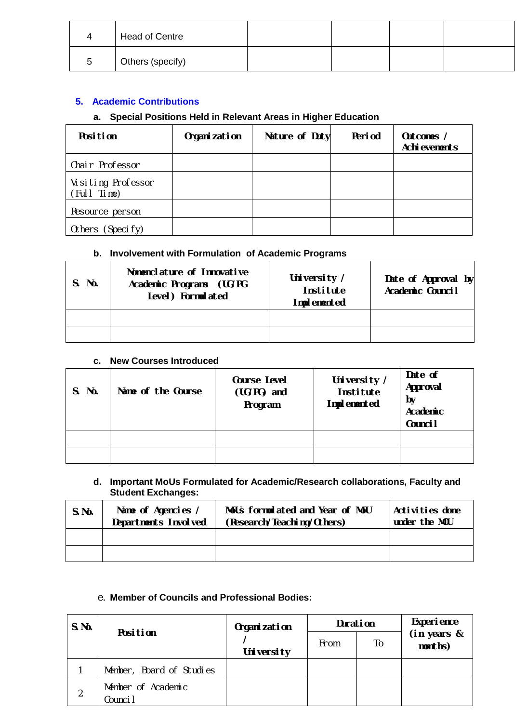|   | Head of Centre   |  |  |
|---|------------------|--|--|
| ∽ | Others (specify) |  |  |

#### **5. Academic Contributions**

# **a. Special Positions Held in Relevant Areas in Higher Education**

| <b>Position</b>                   | Organization | Nature of Duty | Period | Outcomes /<br>Achievements |
|-----------------------------------|--------------|----------------|--------|----------------------------|
| Chair Professor                   |              |                |        |                            |
| Visiting Professor<br>(Full Time) |              |                |        |                            |
| Resource person                   |              |                |        |                            |
| Others (Specify)                  |              |                |        |                            |

#### **b. Involvement with Formulation of Academic Programs**

| S. No. | Nomenclature of Innovative<br>Academic Programs (UG/PG<br>Level) Formulated | University /<br>Institute<br>Implemented | Date of Approval by<br>Academic Council |
|--------|-----------------------------------------------------------------------------|------------------------------------------|-----------------------------------------|
|        |                                                                             |                                          |                                         |
|        |                                                                             |                                          |                                         |

#### **c. New Courses Introduced**

| S. No. | Name of the Course | <b>Course Level</b><br>(UG/PG) and<br>Program | University /<br>Institute<br>Implemented | Date of<br>Approval<br>by<br>Academic<br>Counci <sub>l</sub> |
|--------|--------------------|-----------------------------------------------|------------------------------------------|--------------------------------------------------------------|
|        |                    |                                               |                                          |                                                              |
|        |                    |                                               |                                          |                                                              |

#### **d. Important MoUs Formulated for Academic/Research collaborations, Faculty and Student Exchanges:**

| S.No. | Name of Agencies /<br>Departments Involved | MoUs formulated and Year of MoU<br>(Research/Teaching/Others) | Activities done<br>under the MOU |
|-------|--------------------------------------------|---------------------------------------------------------------|----------------------------------|
|       |                                            |                                                               |                                  |
|       |                                            |                                                               |                                  |

## e. **Member of Councils and Professional Bodies:**

| S.Mo. | <b>Position</b>                | Organization | Duration |    | <b>Experience</b>      |
|-------|--------------------------------|--------------|----------|----|------------------------|
|       |                                | University   | From     | To | (in years &<br>months) |
|       | Member, Board of Studies       |              |          |    |                        |
| 2     | Member of Academic<br>Counci I |              |          |    |                        |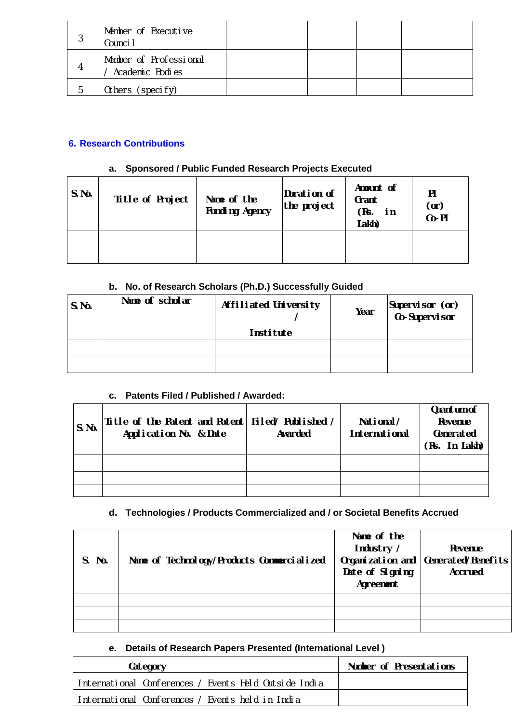| J | Member of Executive<br>Counci I           |  |  |
|---|-------------------------------------------|--|--|
|   | Member of Professional<br>Academic Bodies |  |  |
| h | Others (specify)                          |  |  |

## **6. Research Contributions**

#### **a. Sponsored / Public Funded Research Projects Executed**

| S.No. | Title of Project | Name of the<br><b>Funding Agency</b> | Duration of<br>the project | Amount of<br>Grant<br>(Rs. in<br>Lakh) | PI<br>(0r)<br>Co-PI |
|-------|------------------|--------------------------------------|----------------------------|----------------------------------------|---------------------|
|       |                  |                                      |                            |                                        |                     |
|       |                  |                                      |                            |                                        |                     |

# **b. No. of Research Scholars (Ph.D.) Successfully Guided**

| S.No. | Name of scholar | Affiliated University<br><b>Institute</b> | Year | Supervisor (or)<br>Co-Supervisor |
|-------|-----------------|-------------------------------------------|------|----------------------------------|
|       |                 |                                           |      |                                  |
|       |                 |                                           |      |                                  |
|       |                 |                                           |      |                                  |

## **c. Patents Filed / Published / Awarded:**

| S.No. | Title of the Patent and Patent   Filed/ Published /<br>Application No. & Date | Awarded | National/<br><b>International</b> | Quantum of<br>Revenue<br>Generated<br>(Rs. In Lakh) |
|-------|-------------------------------------------------------------------------------|---------|-----------------------------------|-----------------------------------------------------|
|       |                                                                               |         |                                   |                                                     |
|       |                                                                               |         |                                   |                                                     |
|       |                                                                               |         |                                   |                                                     |

# **d. Technologies / Products Commercialized and / or Societal Benefits Accrued**

| S. No. | Name of Technology/Products Commercialized | Name of the<br>Industry /<br>Organization and<br>Date of Signing<br>Agreement | Revenue<br>Generated/Benefits<br><b>Accrued</b> |
|--------|--------------------------------------------|-------------------------------------------------------------------------------|-------------------------------------------------|
|        |                                            |                                                                               |                                                 |
|        |                                            |                                                                               |                                                 |
|        |                                            |                                                                               |                                                 |

## **e. Details of Research Papers Presented (International Level )**

| Category                                              | Number of Presentations |
|-------------------------------------------------------|-------------------------|
| International Conferences / Events Held Outside India |                         |
| llnternational Conferences / Events held in India     |                         |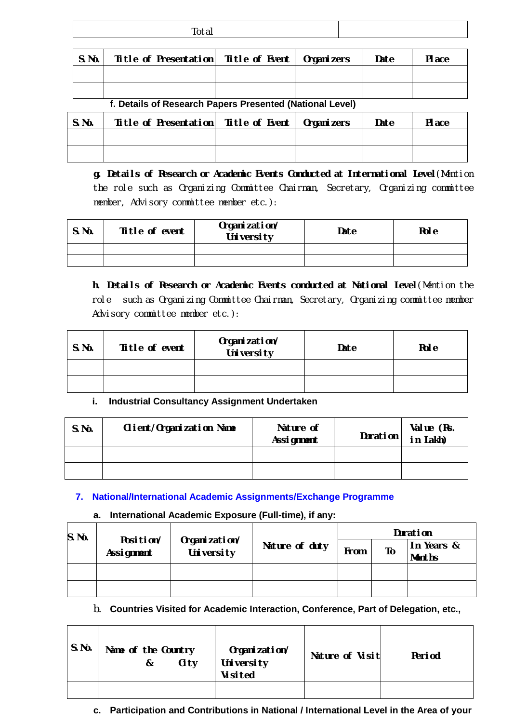|       | Total                                               |  |      |        |
|-------|-----------------------------------------------------|--|------|--------|
|       |                                                     |  |      |        |
| S.No. | Title of Presentation   Title of Event   Organizers |  | Date | PI ace |
|       |                                                     |  |      |        |

**f. Details of Research Papers Presented (National Level)**

| S.No. | Title of Presentation   Title of Event   Organizers |  | Date | <b>Place</b> |
|-------|-----------------------------------------------------|--|------|--------------|
|       |                                                     |  |      |              |
|       |                                                     |  |      |              |

**g. Details of Research or Academic Events Conducted at International Level***(Mention the role such as Organizing Committee Chairman, Secretary, Organizing committee member, Advisory committee member etc.):*

| S.No. | Title of event | Organization/<br>University | Date | Rol e |
|-------|----------------|-----------------------------|------|-------|
|       |                |                             |      |       |
|       |                |                             |      |       |

**h. Details of Research or Academic Events conducted at National Level***(Mention the role such as Organizing Committee Chairman, Secretary, Organizing committee member Advisory committee member etc.):*

| S.No. | Title of event | Organization/<br>University | Date | <b>Role</b> |
|-------|----------------|-----------------------------|------|-------------|
|       |                |                             |      |             |
|       |                |                             |      |             |

## **i. Industrial Consultancy Assignment Undertaken**

| S.No. | Client/Organization Name | Nature of<br>Assignment | <b>Duration</b> | Value (Rs.<br>in Lakh) |
|-------|--------------------------|-------------------------|-----------------|------------------------|
|       |                          |                         |                 |                        |
|       |                          |                         |                 |                        |

## **7. National/International Academic Assignments/Exchange Programme**

#### **a. International Academic Exposure (Full-time), if any:**

| S.Mo. |                         |                             | Duration       |      |    |                             |
|-------|-------------------------|-----------------------------|----------------|------|----|-----------------------------|
|       | Position/<br>Assignment | Organization/<br>University | Nature of duty | From | To | In Years &<br><b>Months</b> |
|       |                         |                             |                |      |    |                             |
|       |                         |                             |                |      |    |                             |

## b. **Countries Visited for Academic Interaction, Conference, Part of Delegation, etc.,**

| S.No. | Name of the Country<br>Ci ty<br>& | Organization/<br>University<br><b>Visited</b> | Nature of Visit | Period |
|-------|-----------------------------------|-----------------------------------------------|-----------------|--------|
|       |                                   |                                               |                 |        |

## **c. Participation and Contributions in National / International Level in the Area of your**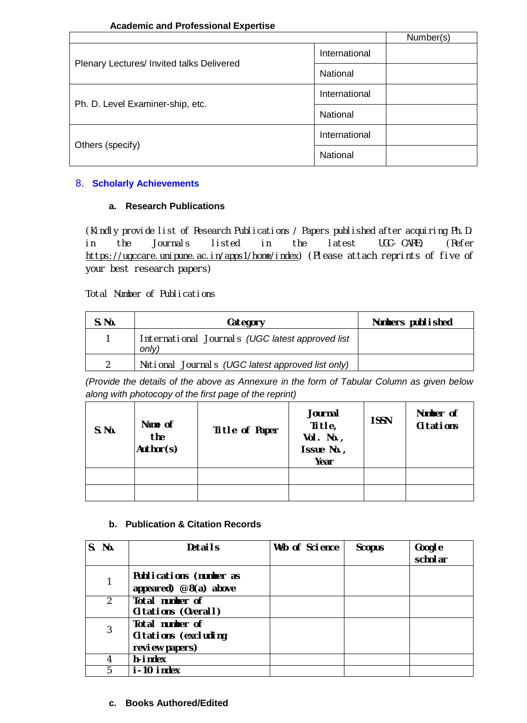#### **Academic and Professional Expertise**

|                                           |               | Number(s) |
|-------------------------------------------|---------------|-----------|
|                                           | International |           |
| Plenary Lectures/ Invited talks Delivered | National      |           |
|                                           | International |           |
| Ph. D. Level Examiner-ship, etc.          | National      |           |
|                                           | International |           |
| Others (specify)                          | National      |           |

#### 8. **Scholarly Achievements**

#### **a. Research Publications**

(Kindly provide list of Research Publications / Papers published after acquiring Ph.D. in the Journals listed in the latest UGC–CARE) *(R*efer https://ugccare.unipune.ac.in/apps1/home/index*) (Please attach reprints of five of your best research papers)* 

Total Number of Publications

| S.No. | Category                                                  | Numbers published |
|-------|-----------------------------------------------------------|-------------------|
|       | International Journals (UGC latest approved list<br>only) |                   |
|       | National Journals (UGC latest approved list only)         |                   |

*(Provide the details of the above as Annexure in the form of Tabular Column as given below along with photocopy of the first page of the reprint)*

| S.No. | Name of<br>the<br>Author(s) | Title of Paper | Journal<br>Title,<br>$Vol. No.$ ,<br>Issue No.,<br>Year | <b>ISSN</b> | Number of<br><b>Citations</b> |
|-------|-----------------------------|----------------|---------------------------------------------------------|-------------|-------------------------------|
|       |                             |                |                                                         |             |                               |
|       |                             |                |                                                         |             |                               |

## **b. Publication & Citation Records**

| S. No.       | <b>Details</b>                                            | Web of Science | <b>Scopus</b> | Google<br>schol ar |
|--------------|-----------------------------------------------------------|----------------|---------------|--------------------|
| 1            | Publications (number as<br>appeared) $@ 8(a)$ above       |                |               |                    |
| 2            | Total number of<br>Citations (Overall)                    |                |               |                    |
| $\mathbf{3}$ | Total number of<br>Citations (excluding<br>review papers) |                |               |                    |
| 4            | h-index                                                   |                |               |                    |
| 5            | i-10 index                                                |                |               |                    |

## **c. Books Authored/Edited**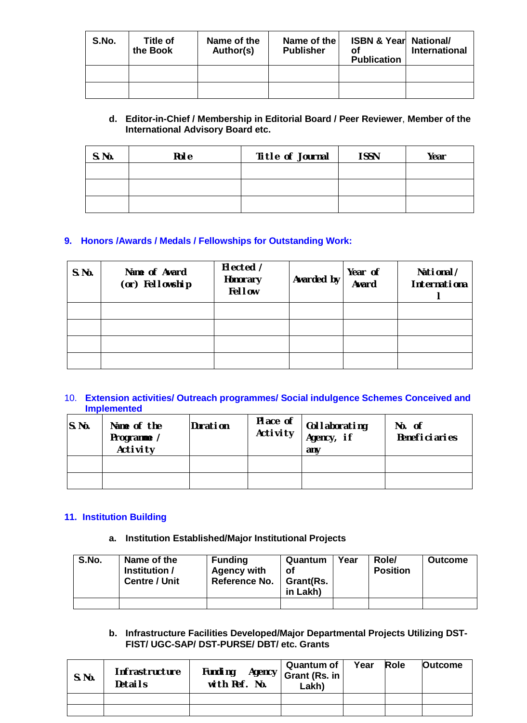| S.No. | Title of<br>the Book | Name of the<br>Author(s) | Name of the<br><b>Publisher</b> | <b>ISBN &amp; Year National/</b><br>οf<br><b>Publication</b> | International |
|-------|----------------------|--------------------------|---------------------------------|--------------------------------------------------------------|---------------|
|       |                      |                          |                                 |                                                              |               |
|       |                      |                          |                                 |                                                              |               |

#### **d. Editor-in-Chief / Membership in Editorial Board / Peer Reviewer**, **Member of the International Advisory Board etc.**

| S.No. | <b>Role</b> | Title of Journal | I SSN | Year |
|-------|-------------|------------------|-------|------|
|       |             |                  |       |      |
|       |             |                  |       |      |
|       |             |                  |       |      |

## **9. Honors /Awards / Medals / Fellowships for Outstanding Work:**

| S.Mo. | Name of Award<br>(or) Fellowship | Elected /<br>Honorary<br><b>Fellow</b> | Awarded by | Year of<br>Award | National/<br>Internationa |
|-------|----------------------------------|----------------------------------------|------------|------------------|---------------------------|
|       |                                  |                                        |            |                  |                           |
|       |                                  |                                        |            |                  |                           |
|       |                                  |                                        |            |                  |                           |
|       |                                  |                                        |            |                  |                           |

#### 10. **Extension activities/ Outreach programmes/ Social indulgence Schemes Conceived and Implemented**

| S.No. | Name of the<br>Programme /<br><b>Activity</b> | Duration | Place of<br>Activity | Collaborating<br>Agency, if<br>anv | No. of<br><b>Beneficiaries</b> |
|-------|-----------------------------------------------|----------|----------------------|------------------------------------|--------------------------------|
|       |                                               |          |                      |                                    |                                |
|       |                                               |          |                      |                                    |                                |

#### **11. Institution Building**

#### **a. Institution Established/Major Institutional Projects**

| S.No. | Name of the<br>Institution /<br><b>Centre / Unit</b> | <b>Funding</b><br><b>Agency with</b><br>Reference No. | Quantum<br>оf<br>∣ Grant(Rs.<br>in Lakh) | Year | Role/<br><b>Position</b> | <b>Outcome</b> |
|-------|------------------------------------------------------|-------------------------------------------------------|------------------------------------------|------|--------------------------|----------------|
|       |                                                      |                                                       |                                          |      |                          |                |

#### **b. Infrastructure Facilities Developed/Major Departmental Projects Utilizing DST-FIST/ UGC-SAP/ DST-PURSE/ DBT/ etc. Grants**

| S.Mo. | <b>Infrastructure</b><br>Details | Funding<br>Agency  <br>with Ref. No. | Quantum of<br>Grant (Rs. in<br>Lakh) | Year | Role | <b>Outcome</b> |
|-------|----------------------------------|--------------------------------------|--------------------------------------|------|------|----------------|
|       |                                  |                                      |                                      |      |      |                |
|       |                                  |                                      |                                      |      |      |                |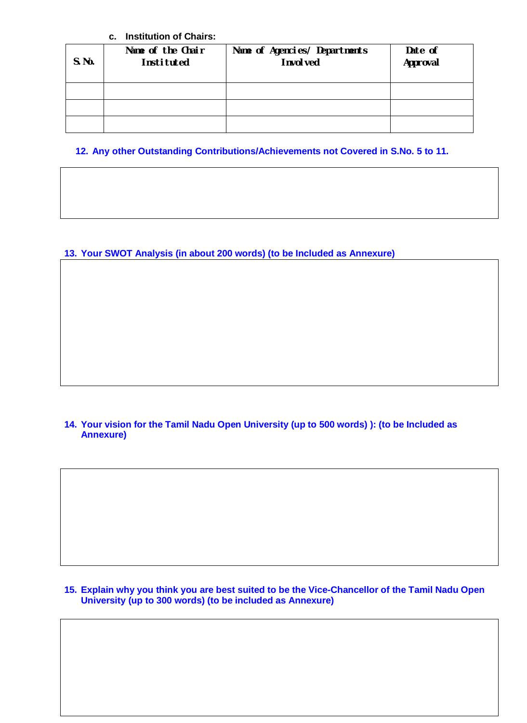#### **c. Institution of Chairs:**

| S.No. | Name of the Chair<br>Instituted | Name of Agencies/ Departments<br>I nvol ved | Date of<br>Approval |
|-------|---------------------------------|---------------------------------------------|---------------------|
|       |                                 |                                             |                     |
|       |                                 |                                             |                     |
|       |                                 |                                             |                     |

## **12. Any other Outstanding Contributions/Achievements not Covered in S.No. 5 to 11.**

## **13. Your SWOT Analysis (in about 200 words) (to be Included as Annexure)**

#### **14. Your vision for the Tamil Nadu Open University (up to 500 words) ): (to be Included as Annexure)**

#### **15. Explain why you think you are best suited to be the Vice-Chancellor of the Tamil Nadu Open University (up to 300 words) (to be included as Annexure)**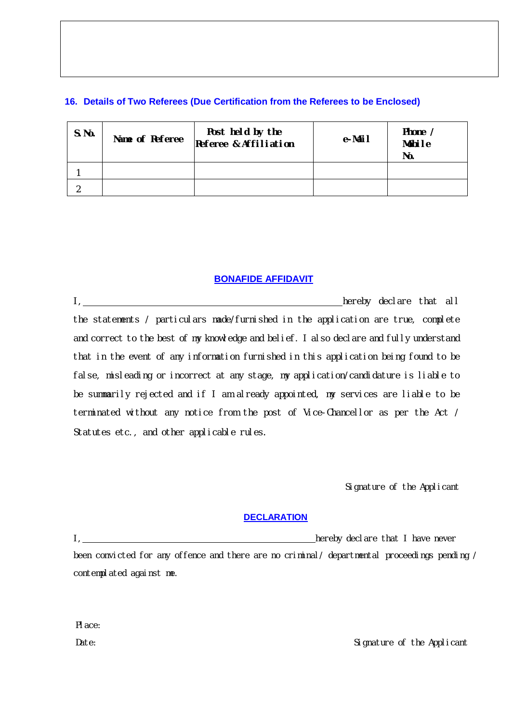#### **16. Details of Two Referees (Due Certification from the Referees to be Enclosed)**

| S.No. | Name of Referee | Post held by the<br>Referee & Affiliation | e-Mail | Phone /<br>Mobile<br>No. |
|-------|-----------------|-------------------------------------------|--------|--------------------------|
|       |                 |                                           |        |                          |
|       |                 |                                           |        |                          |

#### **BONAFIDE AFFIDAVIT**

I, hereby declare that all the statements / particulars made/furnished in the application are true, complete and correct to the best of my knowledge and belief. I also declare and fully understand that in the event of any information furnished in this application being found to be false, misleading or incorrect at any stage, my application/candidature is liable to be summarily rejected and if I am already appointed, my services are liable to be terminated without any notice from the post of Vice-Chancellor as per the Act / Statutes etc., and other applicable rules.

Signature of the Applicant

#### **DECLARATION**

I, hereby declare that I have never

been convicted for any offence and there are no criminal/ departmental proceedings pending / contemplated against me.

Place:

Date: Signature of the Applicant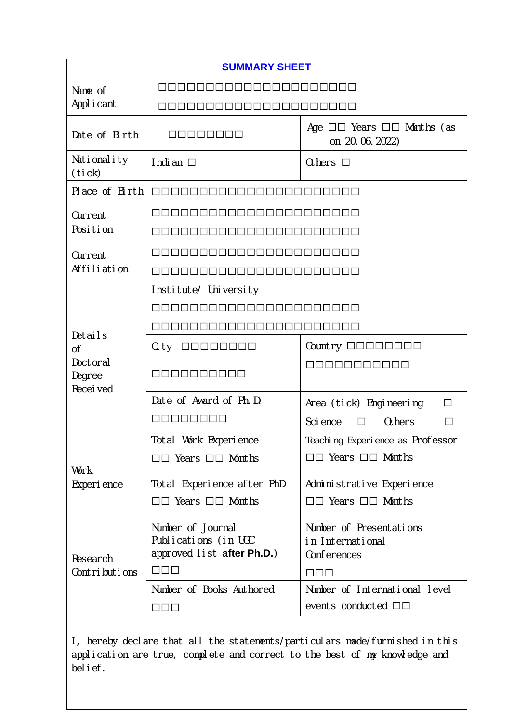| <b>SUMMARY SHEET</b>                                                                                                                                       |                                                                                   |                                                                                       |  |  |  |
|------------------------------------------------------------------------------------------------------------------------------------------------------------|-----------------------------------------------------------------------------------|---------------------------------------------------------------------------------------|--|--|--|
| Name of                                                                                                                                                    |                                                                                   |                                                                                       |  |  |  |
| Appl i cant                                                                                                                                                |                                                                                   |                                                                                       |  |  |  |
| Date of Birth                                                                                                                                              | 00000000                                                                          | Age $\Box \Box$ Years $\Box \Box$ Months (as<br>on 20.06.2022)                        |  |  |  |
| Nationality<br>(tick)                                                                                                                                      | Indian $\square$                                                                  | Others $\square$                                                                      |  |  |  |
| Place of Birth                                                                                                                                             |                                                                                   |                                                                                       |  |  |  |
| Current                                                                                                                                                    |                                                                                   |                                                                                       |  |  |  |
| Position                                                                                                                                                   |                                                                                   |                                                                                       |  |  |  |
| Current                                                                                                                                                    |                                                                                   |                                                                                       |  |  |  |
| Affiliation                                                                                                                                                |                                                                                   |                                                                                       |  |  |  |
|                                                                                                                                                            | Institute/ University                                                             |                                                                                       |  |  |  |
|                                                                                                                                                            | <u>AAAAAAAAAAAAAAA</u>                                                            |                                                                                       |  |  |  |
| Details                                                                                                                                                    |                                                                                   |                                                                                       |  |  |  |
| <sub>0</sub> f                                                                                                                                             | 00000000<br>Ci ty                                                                 | Country $\Box$ $\Box$ $\Box$ $\Box$ $\Box$ $\Box$ $\Box$                              |  |  |  |
| Doctoral<br>Degree<br>Recei ved                                                                                                                            | 0000000000                                                                        | 00000000000                                                                           |  |  |  |
|                                                                                                                                                            | Date of Award of Ph.D.                                                            | Area (tick) Engineering<br>$\perp$                                                    |  |  |  |
|                                                                                                                                                            | mmmmmmm                                                                           | Sci ence<br><b>Others</b><br>П<br>$\Box$                                              |  |  |  |
|                                                                                                                                                            | Total Work Experience                                                             | Teaching Experience as Professor                                                      |  |  |  |
| Work                                                                                                                                                       | $\Box$ Years $\Box$ Months                                                        | □□ Years □□ Months                                                                    |  |  |  |
| Experience                                                                                                                                                 | Total Experience after PhD                                                        | Administrative Experience                                                             |  |  |  |
|                                                                                                                                                            | $\Box$ Years $\Box$ Months                                                        | □□ Years □□ Months                                                                    |  |  |  |
| Research<br>Contributions                                                                                                                                  | Number of Journal<br>Publications (in UGC<br>approved list after Ph.D.)<br>$\Box$ | Number of Presentations<br>in International<br>Conferences<br>$\square\square\square$ |  |  |  |
|                                                                                                                                                            | Number of Books Authored                                                          | Number of International level                                                         |  |  |  |
|                                                                                                                                                            | $\Box$                                                                            | events conducted $\square \square$                                                    |  |  |  |
| I, hereby declare that all the statements/particulars made/furnished in this<br>application are true, complete and correct to the best of my knowledge and |                                                                                   |                                                                                       |  |  |  |

belief.